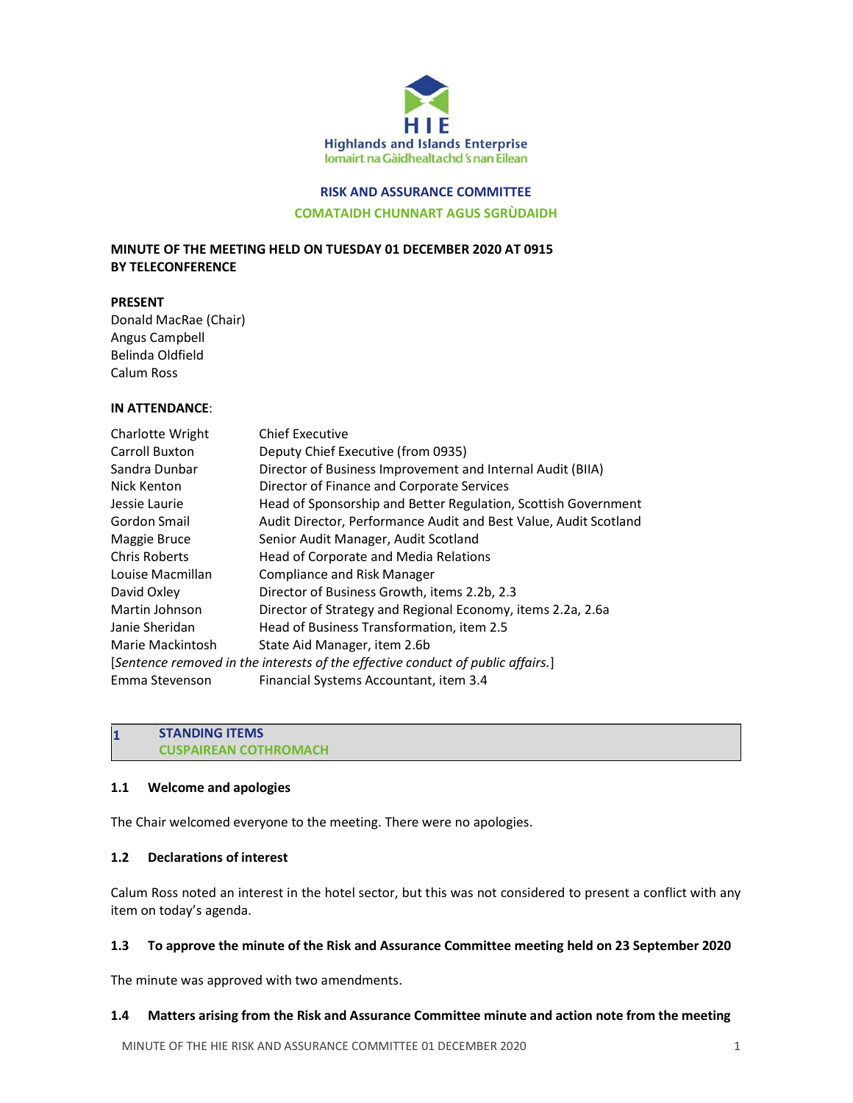

# RISK AND ASSURANCE COMMITTEE

COMATAIDH CHUNNART AGUS SGRÙDAIDH

# MINUTE OF THE MEETING HELD ON TUESDAY 01 DECEMBER 2020 AT 0915 BY TELECONFERENCE

#### PRESENT

Donald MacRae (Chair) Angus Campbell Belinda Oldfield Calum Ross

## IN ATTENDANCE:

| Charlotte Wright     | <b>Chief Executive</b>                                                          |
|----------------------|---------------------------------------------------------------------------------|
| Carroll Buxton       | Deputy Chief Executive (from 0935)                                              |
| Sandra Dunbar        | Director of Business Improvement and Internal Audit (BIIA)                      |
| Nick Kenton          | Director of Finance and Corporate Services                                      |
| Jessie Laurie        | Head of Sponsorship and Better Regulation, Scottish Government                  |
| Gordon Smail         | Audit Director, Performance Audit and Best Value, Audit Scotland                |
| Maggie Bruce         | Senior Audit Manager, Audit Scotland                                            |
| <b>Chris Roberts</b> | Head of Corporate and Media Relations                                           |
| Louise Macmillan     | <b>Compliance and Risk Manager</b>                                              |
| David Oxley          | Director of Business Growth, items 2.2b, 2.3                                    |
| Martin Johnson       | Director of Strategy and Regional Economy, items 2.2a, 2.6a                     |
| Janie Sheridan       | Head of Business Transformation, item 2.5                                       |
| Marie Mackintosh     | State Aid Manager, item 2.6b                                                    |
|                      | [Sentence removed in the interests of the effective conduct of public affairs.] |
| Emma Stevenson       | Financial Systems Accountant, item 3.4                                          |

#### 1 STANDING ITEMS CUSPAIREAN COTHROMACH

### 1.1 Welcome and apologies

The Chair welcomed everyone to the meeting. There were no apologies.

## 1.2 Declarations of interest

Calum Ross noted an interest in the hotel sector, but this was not considered to present a conflict with any item on today's agenda.

### 1.3 To approve the minute of the Risk and Assurance Committee meeting held on 23 September 2020

The minute was approved with two amendments.

#### 1.4 Matters arising from the Risk and Assurance Committee minute and action note from the meeting

MINUTE OF THE HIE RISK AND ASSURANCE COMMITTEE 01 DECEMBER 2020 1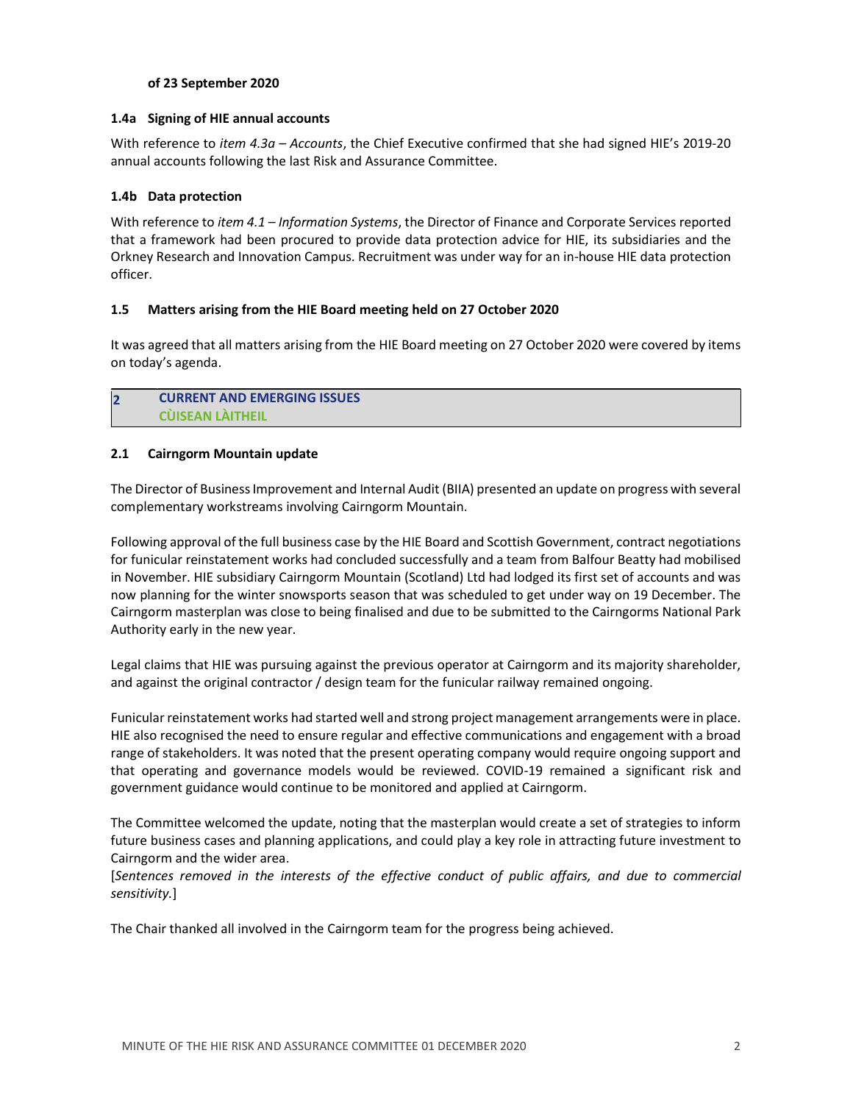### of 23 September 2020

#### 1.4a Signing of HIE annual accounts

With reference to *item 4.3a – Accounts*, the Chief Executive confirmed that she had signed HIE's 2019-20 annual accounts following the last Risk and Assurance Committee.

### 1.4b Data protection

With reference to item 4.1 – Information Systems, the Director of Finance and Corporate Services reported that a framework had been procured to provide data protection advice for HIE, its subsidiaries and the Orkney Research and Innovation Campus. Recruitment was under way for an in-house HIE data protection officer.

### 1.5 Matters arising from the HIE Board meeting held on 27 October 2020

It was agreed that all matters arising from the HIE Board meeting on 27 October 2020 were covered by items on today's agenda.

## 2 CURRENT AND EMERGING ISSUES CÙISEAN LÀITHEIL

#### 2.1 Cairngorm Mountain update

The Director of Business Improvement and Internal Audit (BIIA) presented an update on progress with several complementary workstreams involving Cairngorm Mountain.

Following approval of the full business case by the HIE Board and Scottish Government, contract negotiations for funicular reinstatement works had concluded successfully and a team from Balfour Beatty had mobilised in November. HIE subsidiary Cairngorm Mountain (Scotland) Ltd had lodged its first set of accounts and was now planning for the winter snowsports season that was scheduled to get under way on 19 December. The Cairngorm masterplan was close to being finalised and due to be submitted to the Cairngorms National Park Authority early in the new year.

Legal claims that HIE was pursuing against the previous operator at Cairngorm and its majority shareholder, and against the original contractor / design team for the funicular railway remained ongoing.

Funicular reinstatement works had started well and strong project management arrangements were in place. HIE also recognised the need to ensure regular and effective communications and engagement with a broad range of stakeholders. It was noted that the present operating company would require ongoing support and that operating and governance models would be reviewed. COVID-19 remained a significant risk and government guidance would continue to be monitored and applied at Cairngorm.

The Committee welcomed the update, noting that the masterplan would create a set of strategies to inform future business cases and planning applications, and could play a key role in attracting future investment to Cairngorm and the wider area.

[Sentences removed in the interests of the effective conduct of public affairs, and due to commercial sensitivity.]

The Chair thanked all involved in the Cairngorm team for the progress being achieved.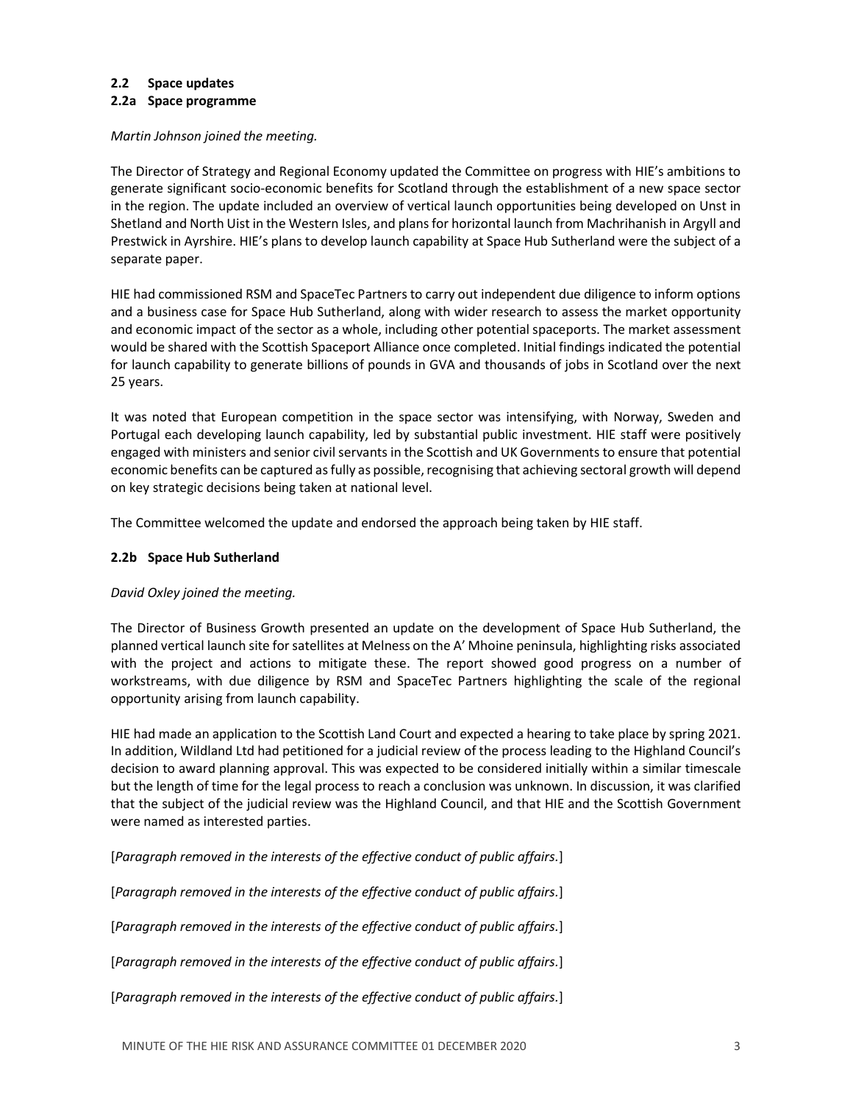### 2.2 Space updates

#### 2.2a Space programme

Martin Johnson joined the meeting.

The Director of Strategy and Regional Economy updated the Committee on progress with HIE's ambitions to generate significant socio-economic benefits for Scotland through the establishment of a new space sector in the region. The update included an overview of vertical launch opportunities being developed on Unst in Shetland and North Uist in the Western Isles, and plans for horizontal launch from Machrihanish in Argyll and Prestwick in Ayrshire. HIE's plans to develop launch capability at Space Hub Sutherland were the subject of a separate paper.

HIE had commissioned RSM and SpaceTec Partners to carry out independent due diligence to inform options and a business case for Space Hub Sutherland, along with wider research to assess the market opportunity and economic impact of the sector as a whole, including other potential spaceports. The market assessment would be shared with the Scottish Spaceport Alliance once completed. Initial findings indicated the potential for launch capability to generate billions of pounds in GVA and thousands of jobs in Scotland over the next 25 years.

It was noted that European competition in the space sector was intensifying, with Norway, Sweden and Portugal each developing launch capability, led by substantial public investment. HIE staff were positively engaged with ministers and senior civil servants in the Scottish and UK Governments to ensure that potential economic benefits can be captured as fully as possible, recognising that achieving sectoral growth will depend on key strategic decisions being taken at national level.

The Committee welcomed the update and endorsed the approach being taken by HIE staff.

### 2.2b Space Hub Sutherland

### David Oxley joined the meeting.

The Director of Business Growth presented an update on the development of Space Hub Sutherland, the planned vertical launch site for satellites at Melness on the A' Mhoine peninsula, highlighting risks associated with the project and actions to mitigate these. The report showed good progress on a number of workstreams, with due diligence by RSM and SpaceTec Partners highlighting the scale of the regional opportunity arising from launch capability.

HIE had made an application to the Scottish Land Court and expected a hearing to take place by spring 2021. In addition, Wildland Ltd had petitioned for a judicial review of the process leading to the Highland Council's decision to award planning approval. This was expected to be considered initially within a similar timescale but the length of time for the legal process to reach a conclusion was unknown. In discussion, it was clarified that the subject of the judicial review was the Highland Council, and that HIE and the Scottish Government were named as interested parties.

[Paragraph removed in the interests of the effective conduct of public affairs.]

[Paragraph removed in the interests of the effective conduct of public affairs.]

[Paragraph removed in the interests of the effective conduct of public affairs.]

[Paragraph removed in the interests of the effective conduct of public affairs.]

[Paragraph removed in the interests of the effective conduct of public affairs.]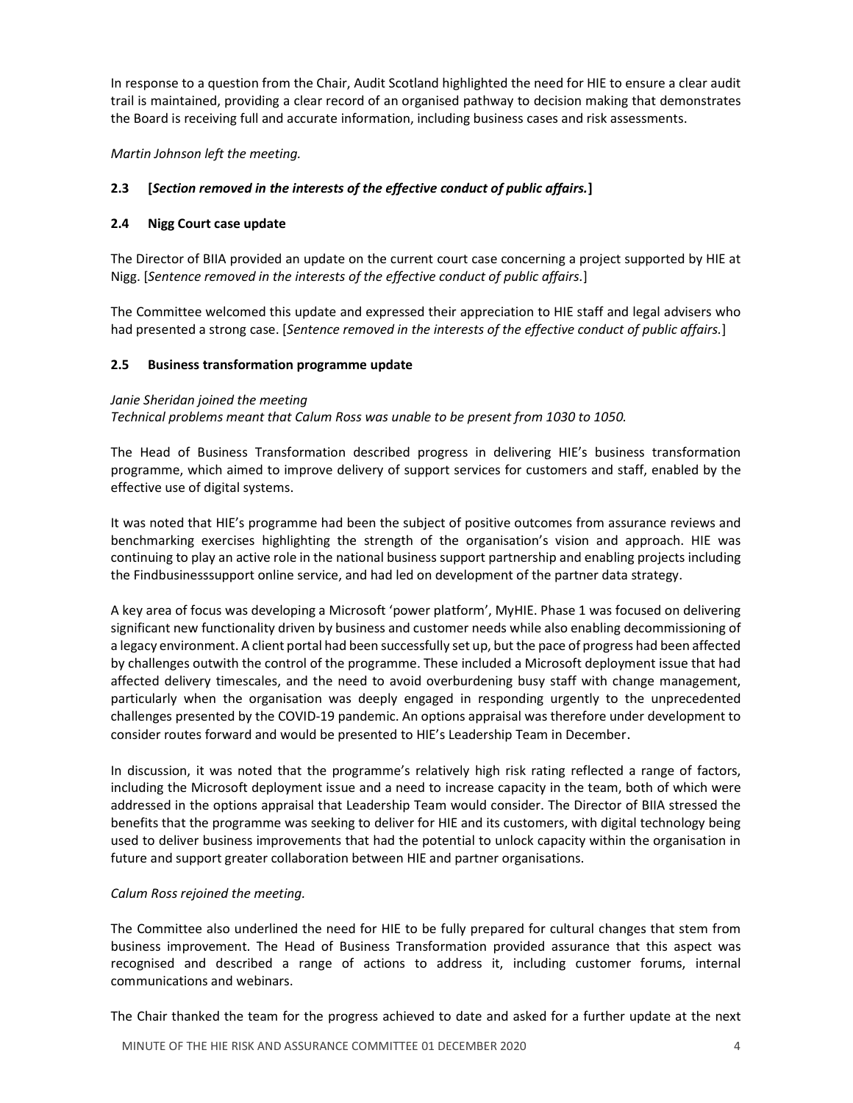In response to a question from the Chair, Audit Scotland highlighted the need for HIE to ensure a clear audit trail is maintained, providing a clear record of an organised pathway to decision making that demonstrates the Board is receiving full and accurate information, including business cases and risk assessments.

## Martin Johnson left the meeting.

## 2.3 [Section removed in the interests of the effective conduct of public affairs.]

### 2.4 Nigg Court case update

The Director of BIIA provided an update on the current court case concerning a project supported by HIE at Nigg. [Sentence removed in the interests of the effective conduct of public affairs.]

The Committee welcomed this update and expressed their appreciation to HIE staff and legal advisers who had presented a strong case. [Sentence removed in the interests of the effective conduct of public affairs.]

## 2.5 Business transformation programme update

#### Janie Sheridan joined the meeting

Technical problems meant that Calum Ross was unable to be present from 1030 to 1050.

The Head of Business Transformation described progress in delivering HIE's business transformation programme, which aimed to improve delivery of support services for customers and staff, enabled by the effective use of digital systems.

It was noted that HIE's programme had been the subject of positive outcomes from assurance reviews and benchmarking exercises highlighting the strength of the organisation's vision and approach. HIE was continuing to play an active role in the national business support partnership and enabling projects including the Findbusinesssupport online service, and had led on development of the partner data strategy.

A key area of focus was developing a Microsoft 'power platform', MyHIE. Phase 1 was focused on delivering significant new functionality driven by business and customer needs while also enabling decommissioning of a legacy environment. A client portal had been successfully set up, but the pace of progress had been affected by challenges outwith the control of the programme. These included a Microsoft deployment issue that had affected delivery timescales, and the need to avoid overburdening busy staff with change management, particularly when the organisation was deeply engaged in responding urgently to the unprecedented challenges presented by the COVID-19 pandemic. An options appraisal was therefore under development to consider routes forward and would be presented to HIE's Leadership Team in December.

In discussion, it was noted that the programme's relatively high risk rating reflected a range of factors, including the Microsoft deployment issue and a need to increase capacity in the team, both of which were addressed in the options appraisal that Leadership Team would consider. The Director of BIIA stressed the benefits that the programme was seeking to deliver for HIE and its customers, with digital technology being used to deliver business improvements that had the potential to unlock capacity within the organisation in future and support greater collaboration between HIE and partner organisations.

### Calum Ross rejoined the meeting.

The Committee also underlined the need for HIE to be fully prepared for cultural changes that stem from business improvement. The Head of Business Transformation provided assurance that this aspect was recognised and described a range of actions to address it, including customer forums, internal communications and webinars.

The Chair thanked the team for the progress achieved to date and asked for a further update at the next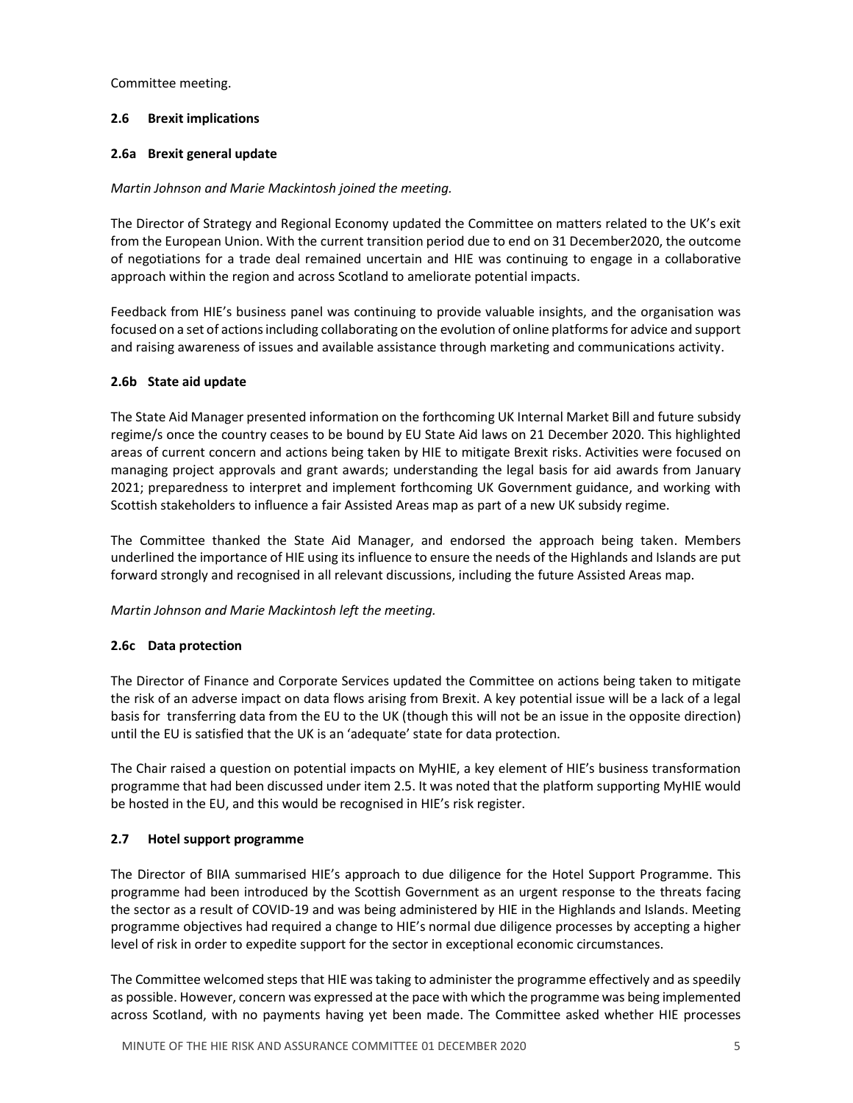Committee meeting.

## 2.6 Brexit implications

### 2.6a Brexit general update

## Martin Johnson and Marie Mackintosh joined the meeting.

The Director of Strategy and Regional Economy updated the Committee on matters related to the UK's exit from the European Union. With the current transition period due to end on 31 December2020, the outcome of negotiations for a trade deal remained uncertain and HIE was continuing to engage in a collaborative approach within the region and across Scotland to ameliorate potential impacts.

Feedback from HIE's business panel was continuing to provide valuable insights, and the organisation was focused on a set of actions including collaborating on the evolution of online platforms for advice and support and raising awareness of issues and available assistance through marketing and communications activity.

## 2.6b State aid update

The State Aid Manager presented information on the forthcoming UK Internal Market Bill and future subsidy regime/s once the country ceases to be bound by EU State Aid laws on 21 December 2020. This highlighted areas of current concern and actions being taken by HIE to mitigate Brexit risks. Activities were focused on managing project approvals and grant awards; understanding the legal basis for aid awards from January 2021; preparedness to interpret and implement forthcoming UK Government guidance, and working with Scottish stakeholders to influence a fair Assisted Areas map as part of a new UK subsidy regime.

The Committee thanked the State Aid Manager, and endorsed the approach being taken. Members underlined the importance of HIE using its influence to ensure the needs of the Highlands and Islands are put forward strongly and recognised in all relevant discussions, including the future Assisted Areas map.

### Martin Johnson and Marie Mackintosh left the meeting.

### 2.6c Data protection

The Director of Finance and Corporate Services updated the Committee on actions being taken to mitigate the risk of an adverse impact on data flows arising from Brexit. A key potential issue will be a lack of a legal basis for transferring data from the EU to the UK (though this will not be an issue in the opposite direction) until the EU is satisfied that the UK is an 'adequate' state for data protection.

The Chair raised a question on potential impacts on MyHIE, a key element of HIE's business transformation programme that had been discussed under item 2.5. It was noted that the platform supporting MyHIE would be hosted in the EU, and this would be recognised in HIE's risk register.

## 2.7 Hotel support programme

The Director of BIIA summarised HIE's approach to due diligence for the Hotel Support Programme. This programme had been introduced by the Scottish Government as an urgent response to the threats facing the sector as a result of COVID-19 and was being administered by HIE in the Highlands and Islands. Meeting programme objectives had required a change to HIE's normal due diligence processes by accepting a higher level of risk in order to expedite support for the sector in exceptional economic circumstances.

The Committee welcomed steps that HIE was taking to administer the programme effectively and as speedily as possible. However, concern was expressed at the pace with which the programme was being implemented across Scotland, with no payments having yet been made. The Committee asked whether HIE processes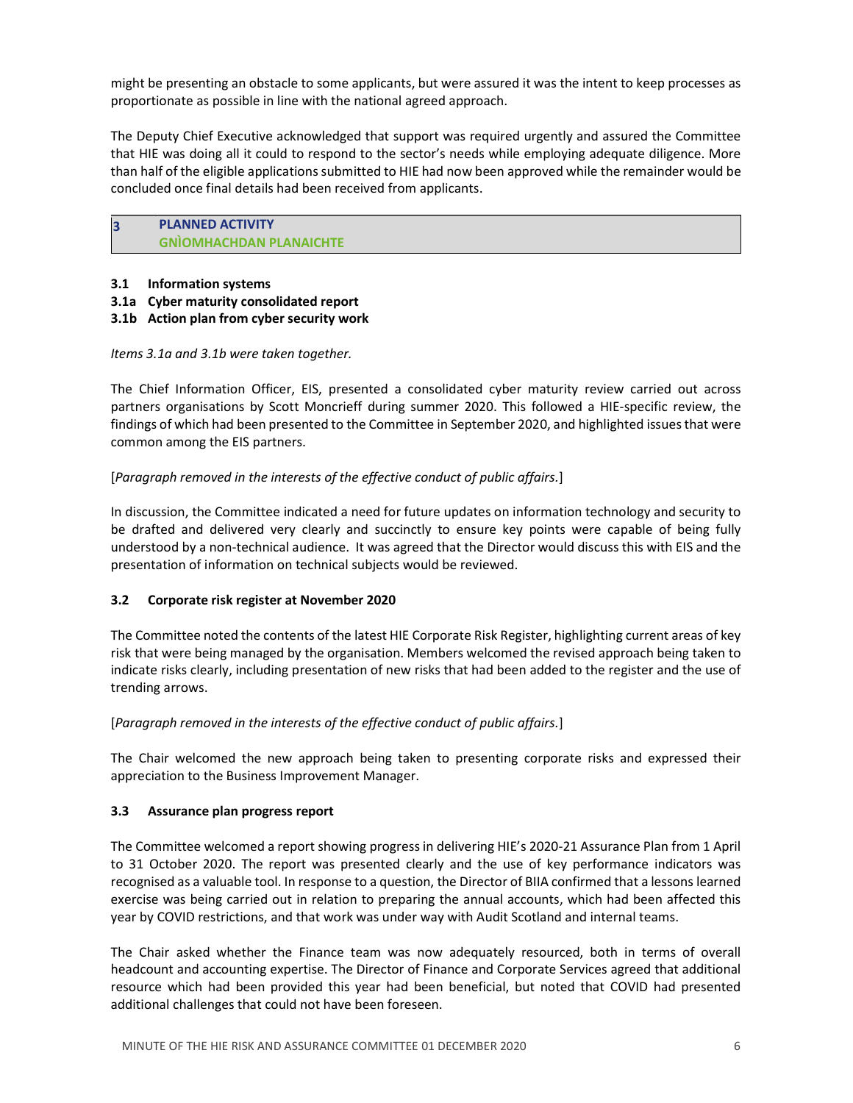might be presenting an obstacle to some applicants, but were assured it was the intent to keep processes as proportionate as possible in line with the national agreed approach.

The Deputy Chief Executive acknowledged that support was required urgently and assured the Committee that HIE was doing all it could to respond to the sector's needs while employing adequate diligence. More than half of the eligible applications submitted to HIE had now been approved while the remainder would be concluded once final details had been received from applicants.

## 3 PLANNED ACTIVITY GNÌOMHACHDAN PLANAICHTE

- 3.1 Information systems
- 3.1a Cyber maturity consolidated report
- 3.1b Action plan from cyber security work

Items 3.1a and 3.1b were taken together.

The Chief Information Officer, EIS, presented a consolidated cyber maturity review carried out across partners organisations by Scott Moncrieff during summer 2020. This followed a HIE-specific review, the findings of which had been presented to the Committee in September 2020, and highlighted issues that were common among the EIS partners.

[Paragraph removed in the interests of the effective conduct of public affairs.]

In discussion, the Committee indicated a need for future updates on information technology and security to be drafted and delivered very clearly and succinctly to ensure key points were capable of being fully understood by a non-technical audience. It was agreed that the Director would discuss this with EIS and the presentation of information on technical subjects would be reviewed.

## 3.2 Corporate risk register at November 2020

The Committee noted the contents of the latest HIE Corporate Risk Register, highlighting current areas of key risk that were being managed by the organisation. Members welcomed the revised approach being taken to indicate risks clearly, including presentation of new risks that had been added to the register and the use of trending arrows.

[Paragraph removed in the interests of the effective conduct of public affairs.]

The Chair welcomed the new approach being taken to presenting corporate risks and expressed their appreciation to the Business Improvement Manager.

## 3.3 Assurance plan progress report

The Committee welcomed a report showing progress in delivering HIE's 2020-21 Assurance Plan from 1 April to 31 October 2020. The report was presented clearly and the use of key performance indicators was recognised as a valuable tool. In response to a question, the Director of BIIA confirmed that a lessons learned exercise was being carried out in relation to preparing the annual accounts, which had been affected this year by COVID restrictions, and that work was under way with Audit Scotland and internal teams.

The Chair asked whether the Finance team was now adequately resourced, both in terms of overall headcount and accounting expertise. The Director of Finance and Corporate Services agreed that additional resource which had been provided this year had been beneficial, but noted that COVID had presented additional challenges that could not have been foreseen.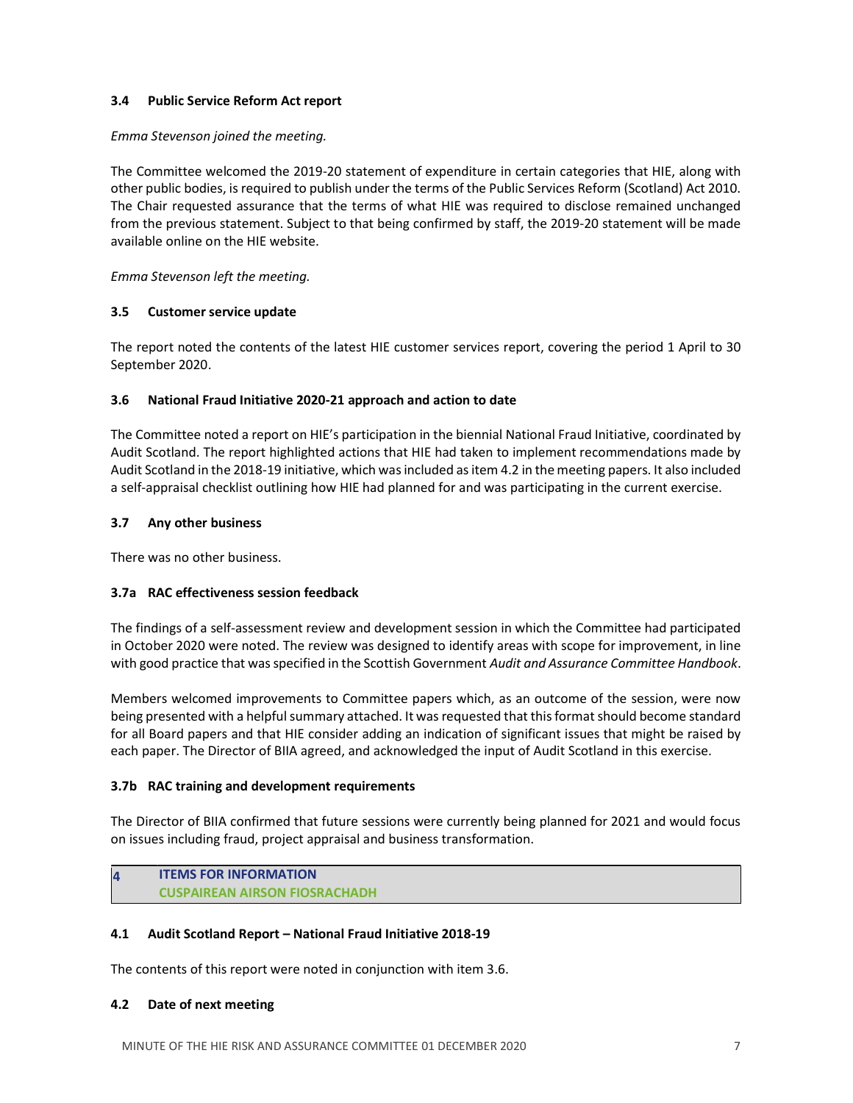### 3.4 Public Service Reform Act report

### Emma Stevenson joined the meeting.

The Committee welcomed the 2019-20 statement of expenditure in certain categories that HIE, along with other public bodies, is required to publish under the terms of the Public Services Reform (Scotland) Act 2010. The Chair requested assurance that the terms of what HIE was required to disclose remained unchanged from the previous statement. Subject to that being confirmed by staff, the 2019-20 statement will be made available online on the HIE website.

Emma Stevenson left the meeting.

## 3.5 Customer service update

The report noted the contents of the latest HIE customer services report, covering the period 1 April to 30 September 2020.

## 3.6 National Fraud Initiative 2020-21 approach and action to date

The Committee noted a report on HIE's participation in the biennial National Fraud Initiative, coordinated by Audit Scotland. The report highlighted actions that HIE had taken to implement recommendations made by Audit Scotland in the 2018-19 initiative, which was included as item 4.2 in the meeting papers. It also included a self-appraisal checklist outlining how HIE had planned for and was participating in the current exercise.

## 3.7 Any other business

There was no other business.

## 3.7a RAC effectiveness session feedback

The findings of a self-assessment review and development session in which the Committee had participated in October 2020 were noted. The review was designed to identify areas with scope for improvement, in line with good practice that was specified in the Scottish Government Audit and Assurance Committee Handbook.

Members welcomed improvements to Committee papers which, as an outcome of the session, were now being presented with a helpful summary attached. It was requested that this format should become standard for all Board papers and that HIE consider adding an indication of significant issues that might be raised by each paper. The Director of BIIA agreed, and acknowledged the input of Audit Scotland in this exercise.

### 3.7b RAC training and development requirements

The Director of BIIA confirmed that future sessions were currently being planned for 2021 and would focus on issues including fraud, project appraisal and business transformation.

# **ITEMS FOR INFORMATION** CUSPAIREAN AIRSON FIOSRACHADH

## 4.1 Audit Scotland Report – National Fraud Initiative 2018-19

The contents of this report were noted in conjunction with item 3.6.

## 4.2 Date of next meeting